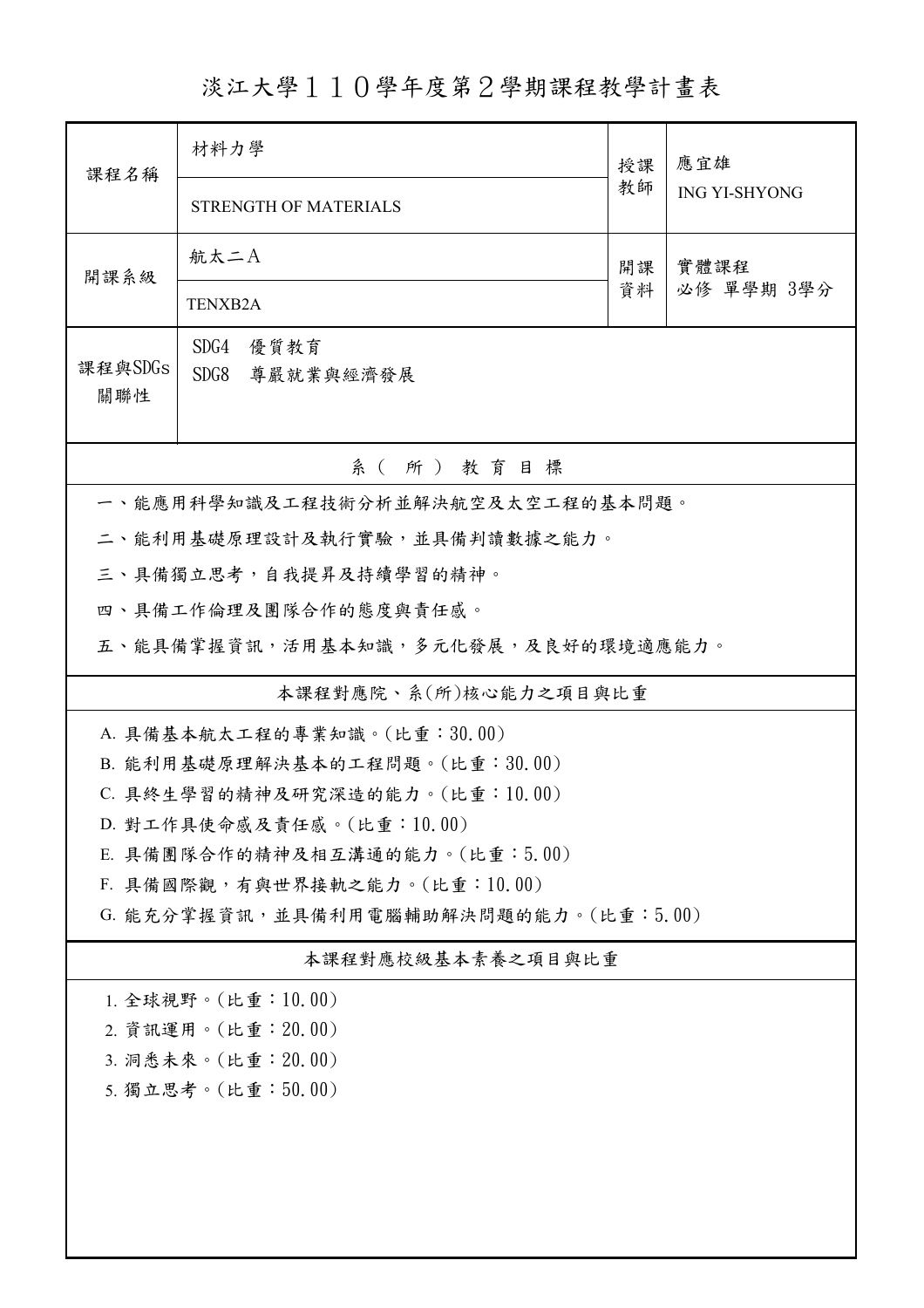淡江大學110學年度第2學期課程教學計畫表

| 課程名稱                                                        | 材料力學                               | 授課       | 應宜雄<br><b>ING YI-SHYONG</b> |  |  |  |
|-------------------------------------------------------------|------------------------------------|----------|-----------------------------|--|--|--|
|                                                             | <b>STRENGTH OF MATERIALS</b>       | 教師       |                             |  |  |  |
| 開課系級                                                        | 航太二A                               | 開課<br>資料 | 實體課程<br>必修 單學期 3學分          |  |  |  |
|                                                             | <b>TENXB2A</b>                     |          |                             |  |  |  |
| 課程與SDGs                                                     | SDG4<br>優質教育                       |          |                             |  |  |  |
| 關聯性                                                         | SDG8 尊嚴就業與經濟發展                     |          |                             |  |  |  |
|                                                             |                                    |          |                             |  |  |  |
|                                                             | 系(所)教育目標                           |          |                             |  |  |  |
|                                                             | 一、能應用科學知識及工程技術分析並解決航空及太空工程的基本問題。   |          |                             |  |  |  |
|                                                             | 二、能利用基礎原理設計及執行實驗,並具備判讀數據之能力。       |          |                             |  |  |  |
|                                                             | 三、具備獨立思考,自我提昇及持續學習的精神。             |          |                             |  |  |  |
|                                                             | 四、具備工作倫理及團隊合作的態度與責任感。              |          |                             |  |  |  |
|                                                             | 五、能具備掌握資訊,活用基本知識,多元化發展,及良好的環境適應能力。 |          |                             |  |  |  |
|                                                             | 本課程對應院、系(所)核心能力之項目與比重              |          |                             |  |  |  |
| A. 具備基本航太工程的專業知識。(比重:30.00)                                 |                                    |          |                             |  |  |  |
|                                                             | B. 能利用基礎原理解決基本的工程問題。(比重:30.00)     |          |                             |  |  |  |
|                                                             | C. 具終生學習的精神及研究深造的能力。(比重:10.00)     |          |                             |  |  |  |
| D. 對工作具使命感及責任感。(比重:10.00)<br>E. 具備團隊合作的精神及相互溝通的能力。(比重:5.00) |                                    |          |                             |  |  |  |
| F. 具備國際觀,有與世界接軌之能力。(比重:10.00)                               |                                    |          |                             |  |  |  |
| G. 能充分掌握資訊,並具備利用電腦輔助解決問題的能力。(比重:5.00)                       |                                    |          |                             |  |  |  |
| 本課程對應校級基本素養之項目與比重                                           |                                    |          |                             |  |  |  |
| 1. 全球視野。(比重:10.00)                                          |                                    |          |                             |  |  |  |
| 2. 資訊運用。(比重:20.00)                                          |                                    |          |                             |  |  |  |
| 3. 洞悉未來。(比重: 20.00)                                         |                                    |          |                             |  |  |  |
| 5. 獨立思考。(比重:50.00)                                          |                                    |          |                             |  |  |  |
|                                                             |                                    |          |                             |  |  |  |
|                                                             |                                    |          |                             |  |  |  |
|                                                             |                                    |          |                             |  |  |  |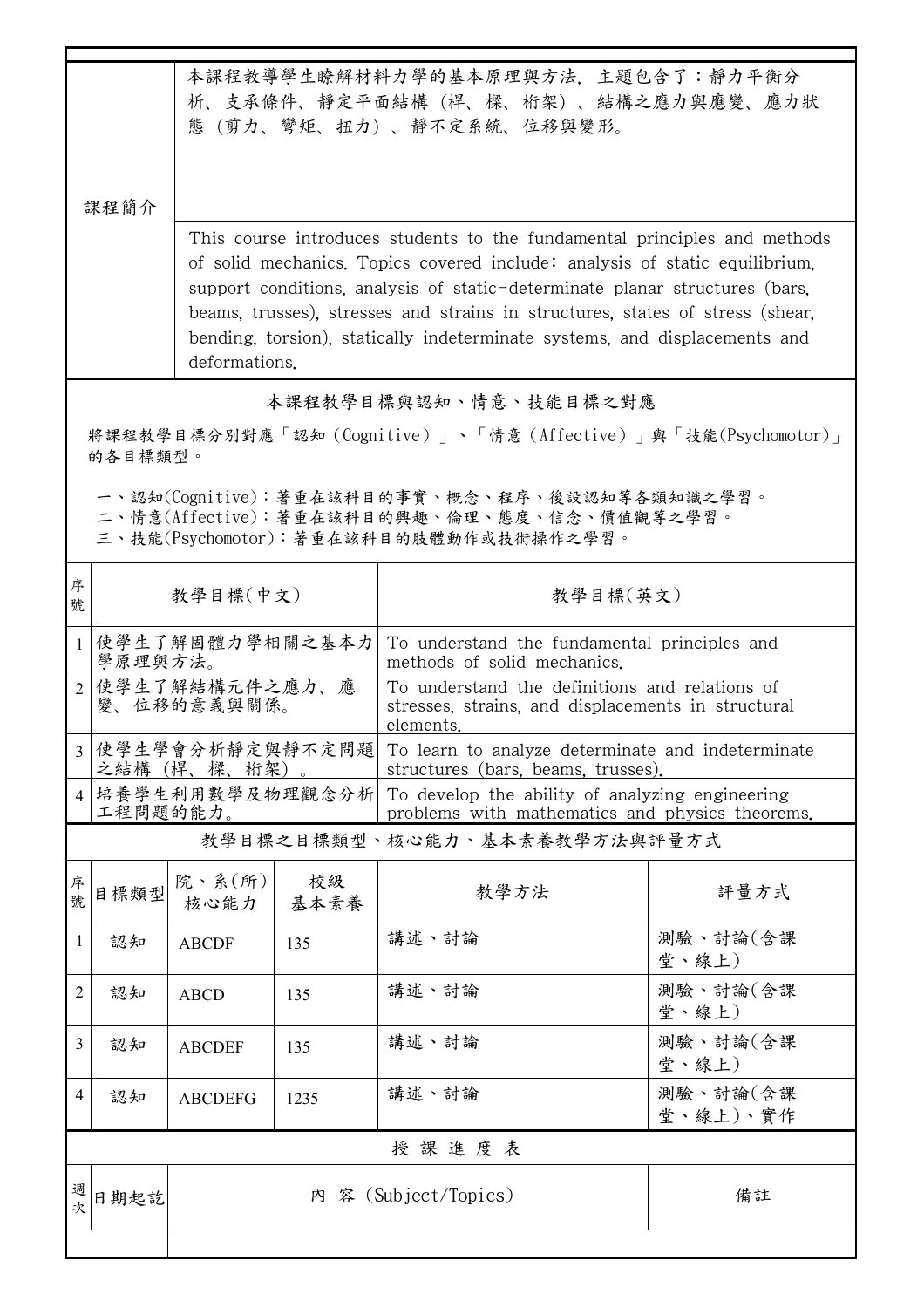| 本課程教導學生瞭解材料力學的基本原理與方法,主題包含了:靜力平衡分<br>析、支承條件、靜定平面結構(桿、樑、桁架)、結構之應力與應變、應力狀<br>態(剪力、彎矩、扭力)、靜不定系統、位移與變形。                                    |          |                                 |            |                                                                                                                                                                                                                                                                                                                                                                                                        |                      |  |
|----------------------------------------------------------------------------------------------------------------------------------------|----------|---------------------------------|------------|--------------------------------------------------------------------------------------------------------------------------------------------------------------------------------------------------------------------------------------------------------------------------------------------------------------------------------------------------------------------------------------------------------|----------------------|--|
| 课程简介<br>deformations.                                                                                                                  |          |                                 |            | This course introduces students to the fundamental principles and methods<br>of solid mechanics. Topics covered include: analysis of static equilibrium.<br>support conditions, analysis of static-determinate planar structures (bars,<br>beams, trusses), stresses and strains in structures, states of stress (shear,<br>bending, torsion), statically indeterminate systems, and displacements and |                      |  |
| 本課程教學目標與認知、情意、技能目標之對應                                                                                                                  |          |                                 |            |                                                                                                                                                                                                                                                                                                                                                                                                        |                      |  |
| 將課程教學目標分別對應「認知 (Cognitive)」、「情意 (Affective)」與「技能(Psychomotor)」<br>的各目標類型。                                                              |          |                                 |            |                                                                                                                                                                                                                                                                                                                                                                                                        |                      |  |
| 一、認知(Cognitive):著重在該科目的事實、概念、程序、後設認知等各類知識之學習。<br>二、情意(Affective):著重在該科目的興趣、倫理、態度、信念、價值觀等之學習。<br>三、技能(Psychomotor):著重在該科目的肢體動作或技術操作之學習。 |          |                                 |            |                                                                                                                                                                                                                                                                                                                                                                                                        |                      |  |
| 序<br>號                                                                                                                                 |          | 教學目標(中文)                        |            | 教學目標(英文)                                                                                                                                                                                                                                                                                                                                                                                               |                      |  |
|                                                                                                                                        | 學原理與方法。  | 使學生了解固體力學相關之基本力                 |            | To understand the fundamental principles and<br>methods of solid mechanics.                                                                                                                                                                                                                                                                                                                            |                      |  |
|                                                                                                                                        |          | 2 使學生了解結構元件之應力、應<br>變、位移的意義與關係。 |            | To understand the definitions and relations of<br>stresses, strains, and displacements in structural<br>elements.                                                                                                                                                                                                                                                                                      |                      |  |
|                                                                                                                                        |          | 之結構(桿、樑、桁架)。                    |            | 3 使學生學會分析靜定與靜不定問題 To learn to analyze determinate and indeterminate<br>structures (bars, beams, trusses).                                                                                                                                                                                                                                                                                              |                      |  |
|                                                                                                                                        | 工程問題的能力。 |                                 |            | 培養學生利用數學及物理觀念分析  To develop the ability of analyzing engineering<br>problems with mathematics and physics theorems.                                                                                                                                                                                                                                                                                    |                      |  |
|                                                                                                                                        |          |                                 |            | 教學目標之目標類型、核心能力、基本素養教學方法與評量方式                                                                                                                                                                                                                                                                                                                                                                           |                      |  |
| 序<br>號                                                                                                                                 | 目標類型     | 院、系 $(\text{m})$<br>核心能力        | 校級<br>基本素養 | 教學方法                                                                                                                                                                                                                                                                                                                                                                                                   | 評量方式                 |  |
| -1                                                                                                                                     | 認知       | <b>ABCDF</b>                    | 135        | 講述、討論                                                                                                                                                                                                                                                                                                                                                                                                  | 測驗、討論(含課<br>堂、線上)    |  |
| 2                                                                                                                                      | 認知       | <b>ABCD</b>                     | 135        | 講述、討論                                                                                                                                                                                                                                                                                                                                                                                                  | 測驗、討論(含課<br>堂、線上)    |  |
| 3                                                                                                                                      | 認知       | <b>ABCDEF</b>                   | 135        | 講述、討論                                                                                                                                                                                                                                                                                                                                                                                                  | 測驗、討論(含課<br>堂、線上)    |  |
| $\overline{4}$                                                                                                                         | 認知       | <b>ABCDEFG</b>                  | 1235       | 講述、討論                                                                                                                                                                                                                                                                                                                                                                                                  | 測驗、討論(含課<br>堂、線上)、實作 |  |
|                                                                                                                                        |          |                                 |            | 授課進度表                                                                                                                                                                                                                                                                                                                                                                                                  |                      |  |
| 週<br>次                                                                                                                                 | 日期起訖     | 內 容 (Subject/Topics)<br>備註      |            |                                                                                                                                                                                                                                                                                                                                                                                                        |                      |  |
|                                                                                                                                        |          |                                 |            |                                                                                                                                                                                                                                                                                                                                                                                                        |                      |  |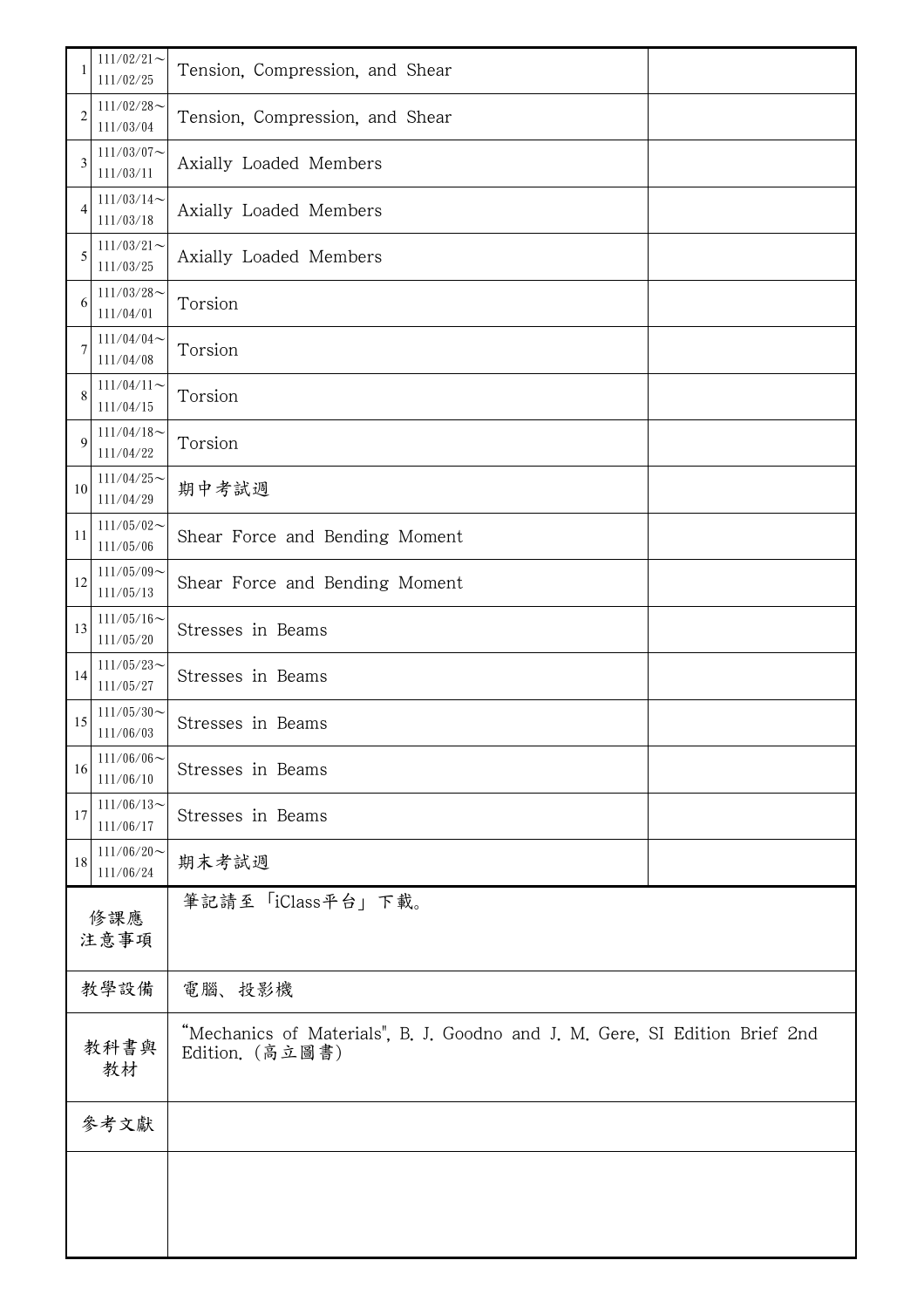| 1           | $111/02/21$ ~<br>111/02/25 | Tension, Compression, and Shear                                                                |  |  |  |
|-------------|----------------------------|------------------------------------------------------------------------------------------------|--|--|--|
| 2           | $111/02/28$ ~<br>111/03/04 | Tension, Compression, and Shear                                                                |  |  |  |
| 3           | $111/03/07$ ~<br>111/03/11 | Axially Loaded Members                                                                         |  |  |  |
| 4           | $111/03/14$ ~<br>111/03/18 | Axially Loaded Members                                                                         |  |  |  |
| 5           | $111/03/21$ ~<br>111/03/25 | Axially Loaded Members                                                                         |  |  |  |
| 6           | $111/03/28$ ~<br>111/04/01 | Torsion                                                                                        |  |  |  |
| 7           | $111/04/04$ ~<br>111/04/08 | Torsion                                                                                        |  |  |  |
| 8           | $111/04/11$ ~<br>111/04/15 | Torsion                                                                                        |  |  |  |
| 9           | $111/04/18$ ~<br>111/04/22 | Torsion                                                                                        |  |  |  |
| 10          | $111/04/25$ ~<br>111/04/29 | 期中考試週                                                                                          |  |  |  |
| 11          | $111/05/02$ ~<br>111/05/06 | Shear Force and Bending Moment                                                                 |  |  |  |
| 12          | $111/05/09$ ~<br>111/05/13 | Shear Force and Bending Moment                                                                 |  |  |  |
| 13          | $111/05/16$ ~<br>111/05/20 | Stresses in Beams                                                                              |  |  |  |
| 14          | $111/05/23$ ~<br>111/05/27 | Stresses in Beams                                                                              |  |  |  |
| 15          | $111/05/30$ ~<br>111/06/03 | Stresses in Beams                                                                              |  |  |  |
| 16          | $111/06/06$ ~<br>111/06/10 | Stresses in Beams                                                                              |  |  |  |
| 17          | $111/06/13$ ~<br>111/06/17 | Stresses in Beams                                                                              |  |  |  |
| 18          | $111/06/20$ ~<br>111/06/24 | 期末考試週                                                                                          |  |  |  |
| 修課應<br>注意事項 |                            | 筆記請至「iClass平台」下載。                                                                              |  |  |  |
|             |                            |                                                                                                |  |  |  |
|             | 教學設備                       | 電腦、投影機                                                                                         |  |  |  |
| 教科書與<br>教材  |                            | "Mechanics of Materials", B. J. Goodno and J. M. Gere, SI Edition Brief 2nd<br>Edition. (高立圖書) |  |  |  |
| 參考文獻        |                            |                                                                                                |  |  |  |
|             |                            |                                                                                                |  |  |  |
|             |                            |                                                                                                |  |  |  |
|             |                            |                                                                                                |  |  |  |